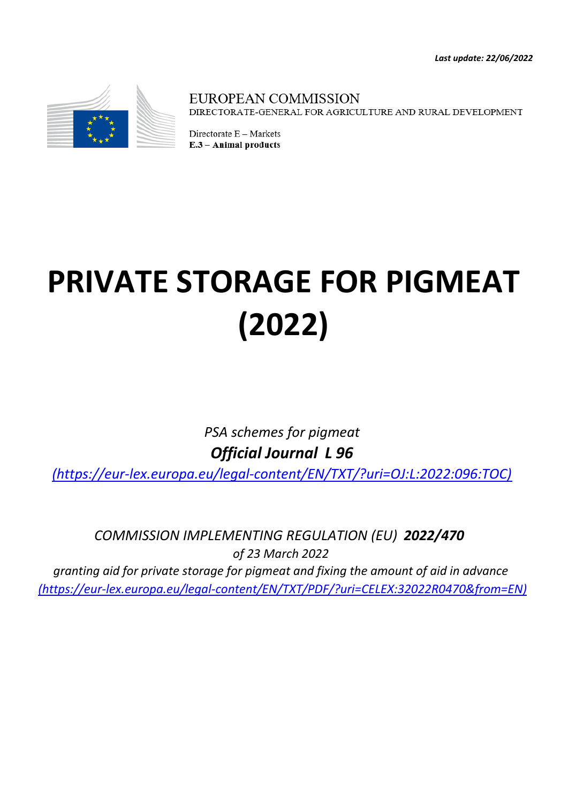*Last update: 22/06/2022*



**EUROPEAN COMMISSION** DIRECTORATE-GENERAL FOR AGRICULTURE AND RURAL DEVELOPMENT

Directorate E - Markets E.3 - Animal products

# **PRIVATE STORAGE FOR PIGMEAT (2022)**

*PSA schemes for pigmeat Official Journal L 96*

*[\(](https://eur-lex.europa.eu/legal-content/EN/TXT/?uri=OJ:L:2022:096:TOC)https://eur-lex.europa.eu/legal-content/EN/TXT/?uri=OJ:L:2022:096:TOC)*

*[\(h](https://eur-lex.europa.eu/legal-content/EN/TXT/PDF/?uri=CELEX:32022R0470&from=EN)ttps://eur-lex.europa.eu/legal-content/EN/TXT/PDF/?uri=CELEX:32022R0470&from=EN) COMMISSION IMPLEMENTING REGULATION (EU) 2022/470 of 23 March 2022 granting aid for private storage for pigmeat and fixing the amount of aid in advance*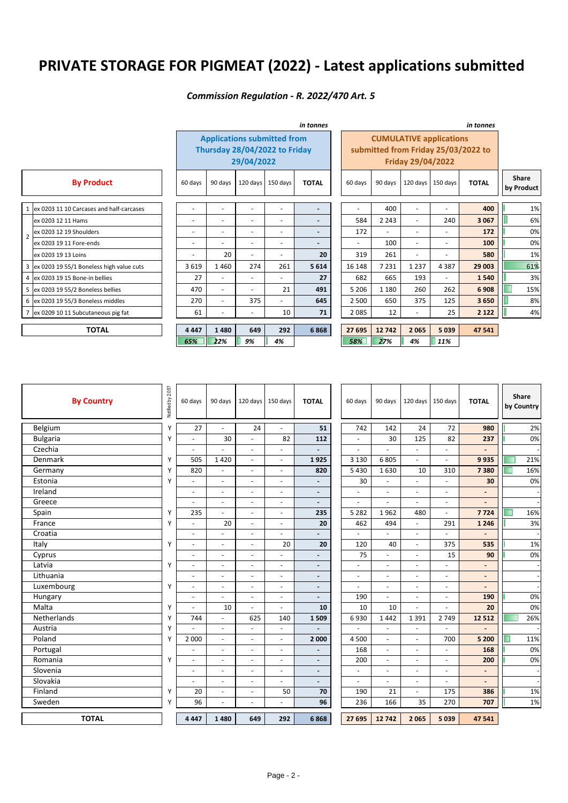# **PRIVATE STORAGE FOR PIGMEAT (2022) - Latest applications submitted**

### *Commission Regulation - R. 2022/470 Art. 5*

|                |                                            | in tonnes                |                          |                          |                                                                     |                          | in tonnes                           |         |                          |                          |              |                            |
|----------------|--------------------------------------------|--------------------------|--------------------------|--------------------------|---------------------------------------------------------------------|--------------------------|-------------------------------------|---------|--------------------------|--------------------------|--------------|----------------------------|
|                |                                            |                          |                          | 29/04/2022               | <b>Applications submitted from</b><br>Thursday 28/04/2022 to Friday |                          | submitted from Friday 25/03/2022 to |         |                          |                          |              |                            |
|                | <b>By Product</b>                          | 60 days                  | 90 days                  | 120 days                 | 150 days                                                            | <b>TOTAL</b>             | 60 days                             | 90 days | $120$ days               | 150 days                 | <b>TOTAL</b> | <b>Share</b><br>by Product |
|                | 1 ex 0203 11 10 Carcases and half-carcases | $\overline{\phantom{a}}$ | $\sim$                   | $\overline{\phantom{a}}$ | $\overline{a}$                                                      | $\overline{\phantom{a}}$ | ٠                                   | 400     | $\overline{\phantom{a}}$ | $\overline{a}$           | 400          | 1%                         |
|                | ex 0203 12 11 Hams                         | $\overline{a}$           | $\overline{\phantom{a}}$ | $\overline{\phantom{a}}$ | $\overline{\phantom{0}}$                                            | $\overline{\phantom{a}}$ | 584                                 | 2 2 4 3 | $\overline{\phantom{a}}$ | 240                      | 3 0 6 7      | 6%                         |
| $\overline{2}$ | lex 0203 12 19 Shoulders                   | $\overline{\phantom{a}}$ | $\overline{\phantom{a}}$ | $\overline{\phantom{0}}$ | $\overline{\phantom{a}}$                                            | $\overline{\phantom{a}}$ | 172                                 | ٠       | $\overline{\phantom{a}}$ | ٠                        | 172          | 0%                         |
|                | ex 0203 19 11 Fore-ends                    | $\overline{\phantom{a}}$ | $\sim$                   | $\overline{\phantom{a}}$ | $\overline{\phantom{a}}$                                            | $\overline{\phantom{a}}$ | $\overline{\phantom{a}}$            | 100     | $\overline{\phantom{a}}$ | ٠                        | 100          | 0%                         |
|                | ex 0203 19 13 Loins                        | $\blacksquare$           | 20                       | $\overline{\phantom{a}}$ | $\overline{\phantom{0}}$                                            | 20                       | 319                                 | 261     | ٠                        | ٠                        | 580          | 1%                         |
|                | 3 ex 0203 19 55/1 Boneless high value cuts | 3619                     | 1460                     | 274                      | 261                                                                 | 5 6 1 4                  | 16 148                              | 7 2 3 1 | 1 2 3 7                  | 4387                     | 29 003       | 61%                        |
|                | 4 ex 0203 19 15 Bone-in bellies            | 27                       | $\sim$                   | $\overline{\phantom{0}}$ |                                                                     | 27                       | 682                                 | 665     | 193                      | $\overline{\phantom{0}}$ | 1540         | 3%                         |
|                | 5 ex 0203 19 55/2 Boneless bellies         | 470                      | $\sim$                   | $\overline{\phantom{a}}$ | 21                                                                  | 491                      | 5 2 0 6                             | 1 1 8 0 | 260                      | 262                      | 6 9 0 8      | 15%                        |
|                | 6 lex 0203 19 55/3 Boneless middles        | 270                      | $\sim$                   | 375                      |                                                                     | 645                      | 2 5 0 0                             | 650     | 375                      | 125                      | 3650         | 8%                         |
|                | 7 ex 0209 10 11 Subcutaneous pig fat       | 61                       |                          |                          | 10                                                                  | 71                       | 2085                                | 12      |                          | 25                       | 2 1 2 2      | 4%                         |
|                | <b>TOTAL</b>                               | 4 4 4 7                  | 1480                     | 649                      | 292                                                                 | 6868                     | 27 695                              | 12742   | 2065                     | 5 0 3 9                  | 47 541       |                            |
|                |                                            | 65%                      | 22%                      | 9%                       | 4%                                                                  |                          | 58%                                 | 27%     | 4%                       | 11%                      |              |                            |

| <b>By Country</b>  | 2.05?<br>Notified by: | 60 days                  | 90 days                  | $120$ days               | 150 days                     | <b>TOTAL</b>             | 60 days        | 90 days                     |                          | 120 days 150 days        | <b>TOTAL</b>             |   | Share<br>by Country |
|--------------------|-----------------------|--------------------------|--------------------------|--------------------------|------------------------------|--------------------------|----------------|-----------------------------|--------------------------|--------------------------|--------------------------|---|---------------------|
| Belgium            | Υ                     | 27                       | L.                       | 24                       | $\sim$                       | 51                       | 742            | 142                         | 24                       | 72                       | 980                      |   | 2%                  |
| <b>Bulgaria</b>    | Υ                     |                          | 30                       | $\blacksquare$           | 82                           | 112                      | $\blacksquare$ | 30                          | 125                      | 82                       | 237                      |   | 0%                  |
| Czechia            |                       |                          | L.                       | $\overline{\phantom{a}}$ | ÷.                           | $\overline{\phantom{0}}$ | ÷.             |                             | L.                       | $\overline{\phantom{a}}$ | $\overline{a}$           |   |                     |
| Denmark            | Υ                     | 505                      | 1420                     | $\sim$                   | ÷.                           | 1925                     | 3 1 3 0        | 6 8 0 5                     | ÷,                       | ÷.                       | 9935                     |   | 21%                 |
| Germany            | Υ                     | 820                      | $\frac{1}{2}$            | ÷.                       | $\overline{\phantom{a}}$     | 820                      | 5430           | 1630                        | 10                       | 310                      | 7380                     |   | 16%                 |
| Estonia            | Υ                     |                          | L.                       | L.                       | ÷                            | $\overline{\phantom{a}}$ | 30             |                             | $\overline{a}$           | $\overline{a}$           | 30                       |   | 0%                  |
| Ireland            |                       | $\overline{a}$           | $\blacksquare$           | $\sim$                   | $\sim$                       | $\overline{\phantom{a}}$ | $\blacksquare$ | $\overline{a}$              | $\sim$                   | $\sim$                   | $\frac{1}{2}$            |   |                     |
| Greece             |                       |                          | ÷,                       | L,                       | $\qquad \qquad \blacksquare$ | $\overline{\phantom{a}}$ | $\blacksquare$ | L,                          | ä,                       | $\overline{\phantom{a}}$ | $\overline{\phantom{m}}$ |   |                     |
| Spain              | Υ                     | 235                      | $\frac{1}{2}$            | $\blacksquare$           | $\blacksquare$               | 235                      | 5 2 8 2        | 1962                        | 480                      | $\blacksquare$           | 7724                     |   | 16%                 |
| France             | Υ                     |                          | 20                       | $\overline{\phantom{a}}$ | $\sim$                       | 20                       | 462            | 494                         | $\omega$                 | 291                      | 1 2 4 6                  |   | 3%                  |
| Croatia            |                       | ÷                        | ä,                       | $\sim$                   | ÷.                           |                          |                |                             | ÷.                       |                          |                          |   |                     |
| Italy              | Υ                     |                          | $\overline{\phantom{a}}$ | $\overline{\phantom{a}}$ | 20                           | 20                       | 120            | 40                          | $\overline{\phantom{a}}$ | 375                      | 535                      |   | 1%                  |
| Cyprus             |                       | $\overline{a}$           | L.                       | L.                       | ÷                            | $\overline{a}$           | 75             |                             | $\overline{a}$           | 15                       | 90                       |   | 0%                  |
| Latvia             | Υ                     | $\overline{\phantom{a}}$ | ٠                        | $\sim$                   | $\overline{\phantom{a}}$     | $\overline{\phantom{a}}$ | $\blacksquare$ | ä,                          | ä,                       | $\overline{\phantom{a}}$ | $\overline{\phantom{a}}$ |   |                     |
| Lithuania          |                       |                          | ÷,                       | L,                       | $\blacksquare$               | $\overline{\phantom{a}}$ | $\blacksquare$ | L,                          | ä,                       | $\overline{\phantom{a}}$ | $\overline{\phantom{a}}$ |   |                     |
| Luxembourg         | Υ                     | $\blacksquare$           | ٠                        | $\overline{\phantom{a}}$ | $\blacksquare$               | $\overline{\phantom{a}}$ | ÷.             | $\bar{a}$                   | $\overline{\phantom{a}}$ | $\overline{\phantom{a}}$ | $\blacksquare$           |   |                     |
| Hungary            |                       | $\blacksquare$           | ä,                       | L.                       | $\blacksquare$               | $\overline{a}$           | 190            | L.                          | $\overline{\phantom{a}}$ | $\overline{\phantom{a}}$ | 190                      |   | 0%                  |
| Malta              | Υ                     |                          | 10                       | ٠                        | ÷.                           | 10                       | 10             | 10                          | ÷.                       | ÷.                       | 20                       |   | 0%                  |
| <b>Netherlands</b> | Υ                     | 744                      | ä,                       | 625                      | 140                          | 1509                     | 6930           | 1442                        | 1 3 9 1                  | 2 7 4 9                  | 12 5 12                  |   | 26%                 |
| Austria            | Υ                     |                          | L.                       |                          | ÷                            |                          |                |                             | ÷.                       |                          |                          |   |                     |
| Poland             | Υ                     | 2 0 0 0                  | ä,                       | $\overline{\phantom{a}}$ | $\overline{\phantom{a}}$     | 2 000                    | 4 500          | $\omega$                    | $\overline{\phantom{a}}$ | 700                      | 5 200                    | ■ | 11%                 |
| Portugal           |                       |                          | L,                       | L,                       | ä,                           | $\overline{\phantom{a}}$ | 168            | $\bar{a}$                   | ÷.                       | $\sim$                   | 168                      |   | 0%                  |
| Romania            | Y                     | $\overline{\phantom{a}}$ | ä,                       | $\overline{\phantom{a}}$ | $\blacksquare$               | $\overline{\phantom{a}}$ | 200            | $\mathcal{L}_{\mathcal{A}}$ | $\overline{\phantom{a}}$ | $\overline{\phantom{a}}$ | 200                      |   | 0%                  |
| Slovenia           |                       | $\blacksquare$           | $\blacksquare$           | $\sim$                   | $\omega$                     | $\blacksquare$           | $\blacksquare$ | ÷,                          | $\sim$                   | $\blacksquare$           | ä,                       |   |                     |
| Slovakia           |                       |                          | ä,                       | $\sim$                   | $\overline{\phantom{a}}$     | $\overline{\phantom{a}}$ | $\blacksquare$ | ÷                           | ÷.                       | $\sim$                   | $\overline{\phantom{0}}$ |   |                     |
| Finland            | Y                     | 20                       | $\blacksquare$           | L.                       | 50                           | 70                       | 190            | 21                          | $\overline{\phantom{a}}$ | 175                      | 386                      |   | 1%                  |
| Sweden             | Y                     | 96                       | L.                       | L.                       | $\overline{a}$               | 96                       | 236            | 166                         | 35                       | 270                      | 707                      |   | 1%                  |
| <b>TOTAL</b>       |                       | 4 4 4 7                  | 1480                     | 649                      | 292                          | 6868                     | 27 695         | 12742                       | 2065                     | 5039                     | 47 541                   |   |                     |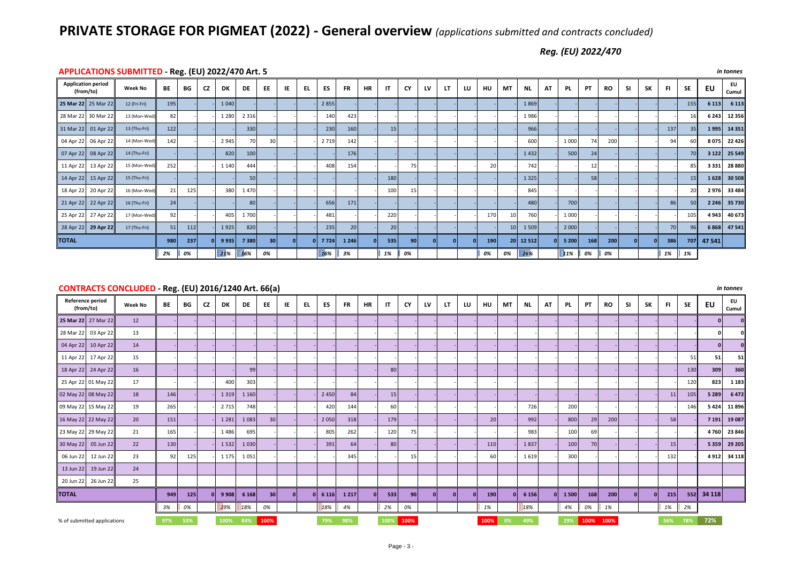## **PRIVATE STORAGE FOR PIGMEAT (2022) - General overview** *(applications submitted and contracts concluded)*

Beef – contracts concluded - (R 2016/1240 66(a)) *Reg. (EU) 2022/470*

|                                        | APPLICATIONS SUBNITTED - Reg. (EU) 2022/470 Art. 5<br><i>In tonnes</i> |     |     |           |         |         |                 |     |     |           |                 |           |                 |    |    |    |    |     |    |           |     |         |     |           |           |    |     |            |         |             |
|----------------------------------------|------------------------------------------------------------------------|-----|-----|-----------|---------|---------|-----------------|-----|-----|-----------|-----------------|-----------|-----------------|----|----|----|----|-----|----|-----------|-----|---------|-----|-----------|-----------|----|-----|------------|---------|-------------|
| <b>Application period</b><br>(from/to) | <b>Week No</b>                                                         | BE  | BG  | <b>CZ</b> | DK      | DE      | EE              | IE. | EL. | <b>ES</b> | <b>FR</b>       | <b>HR</b> | IT              | CY | LV | LT | LU | HU  | MT | ΝL.       | AT  | PL.     | PT  | <b>RO</b> | <b>SI</b> | SK | -FI | <b>SE</b>  | EU      | EU<br>Cumul |
| 25 Mar 22 25 Mar 22                    | 12 (Fri-Fri)                                                           | 195 |     |           | 1040    |         |                 |     |     | 2855      |                 |           |                 |    |    |    |    |     |    | 1869      |     |         |     |           |           |    |     | 155        | 6 1 13  | 6 1 1 3     |
| 28 Mar 22 30 Mar 22                    | 13 (Mon-Wed)                                                           | 82  |     |           | 1 2 8 0 | 2 3 1 6 |                 |     |     | 140       | 423             |           |                 |    |    |    |    |     |    | 1986      |     |         |     |           |           |    |     | 16         | 6 2 4 3 | 12 356      |
| 31 Mar 22 01 Apr 22                    | 13 (Thu-Fri)                                                           | 122 |     |           |         | 330     |                 |     |     | 230       | 160             |           | 15              |    |    |    |    |     |    | 966       |     |         |     |           |           |    | 137 | 35         | 1995    | 14 3 5 1    |
| 04 Apr 22 06 Apr 22                    | 14 (Mon-Wed)                                                           | 142 |     |           | 2945    | 70      | 30 <sup>1</sup> |     |     | 2719      | 142             |           |                 |    |    |    |    |     |    | 600       |     | 1 0 0 0 | 74  | 200       |           |    | 94  |            | 8075    | 22 4 26     |
| 07 Apr 22 08 Apr 22                    | 14 (Thu-Fri)                                                           |     |     |           | 820     | 100     |                 |     |     |           | 176             |           |                 |    |    |    |    |     |    | 1432      |     | 500     | 24  |           |           |    |     | 70         | 3122    | 25 5 49     |
| 11 Apr 22 13 Apr 22                    | 15 (Mon-Wed)                                                           | 252 |     |           | 1 1 4 0 | 444     |                 |     |     | 408       | 154             |           |                 | 75 |    |    |    | 20  |    | 742       |     |         |     |           |           |    |     | 85         | 3331    | 28 880      |
| 14 Apr 22 15 Apr 22                    | 15 (Thu-Fri)                                                           |     |     |           |         | 50      |                 |     |     |           |                 |           | 180             |    |    |    |    |     |    | 1 3 2 5   |     |         | 58  |           |           |    |     | 15         | 1628    | 30 508      |
| 18 Apr 22 20 Apr 22                    | 16 (Mon-Wed)                                                           | 21  | 125 |           | 380     | 1470    |                 |     |     |           |                 |           | 100             | 15 |    |    |    |     |    | 845       |     |         |     |           |           |    |     |            | 2976    | 33 4 8 4    |
| 21 Apr 22 22 Apr 22                    | 16 (Thu-Fri)                                                           | 24  |     |           |         | 80      |                 |     |     | 656       | 171             |           |                 |    |    |    |    |     |    | 480       |     | 700     |     |           |           |    | 86  | 50         | 2 2 4 6 | 35 730      |
| 25 Apr 22 27 Apr 22                    | 17 (Mon-Wed)                                                           | 92  |     |           | 405     | 1700    |                 |     |     | 481       |                 |           | 220             |    |    |    |    | 170 | 10 | 760       |     | 1 0 0 0 |     |           |           |    |     | 105        | 4943    | 40 673      |
| 28 Apr 22 29 Apr 22                    | 17 (Thu-Fri)                                                           | 51  | 112 |           | 1925    | 820     |                 |     |     | 235       | 20 <sup>1</sup> |           | 20 <sup>1</sup> |    |    |    |    |     | 10 | 1 5 0 9   |     | 2 0 0 0 |     |           |           |    | 70  | 96         | 6868    | 47 541      |
| <b>TOTAL</b>                           |                                                                        | 980 | 237 |           | 9935    | 7380    | 30 <sup>1</sup> |     |     | 7724      | 1 2 4 6         |           | 535             | 90 |    |    |    | 190 |    | 20 12 512 | 0 L | 5200    | 168 | 200       |           |    | 386 | 707        | 47 541  |             |
|                                        |                                                                        | 2%  | 0%  |           | 21%     | 16%     | 0%              |     |     | $16\%$ 3% |                 |           | 1%              | 0% |    |    |    | 0%  | 0% | 26%       |     | 11%     | 0%  | 0%        |           |    | 1%  | $\vert$ 1% |         |             |

#### **APPLICATIONS SUBMITTED - Reg. (EU) 2022/470 Art. 5** *in tonnes*

#### **CONTRACTS CONCLUDED - Reg. (EU) 2016/1240 Art. 66(a)** *in tonnes*

| $1.56$ ( $-7$ ) $-7-7$ $-7.5$ $\ldots$ $-7.5$ |                |     |     |    |         |         |                 |    |     |         |           |           |      |                 |    |          |          |      |                |           |              |      |      |           |           |           |     |           |            |             |
|-----------------------------------------------|----------------|-----|-----|----|---------|---------|-----------------|----|-----|---------|-----------|-----------|------|-----------------|----|----------|----------|------|----------------|-----------|--------------|------|------|-----------|-----------|-----------|-----|-----------|------------|-------------|
| Reference period<br>(from/to)                 | <b>Week No</b> | BE  | BG  | CZ | DK      | DE      | EE              | IE | EL. | ES      | <b>FR</b> | <b>HR</b> | ΙT   | CY              | LV | LT       | LU       | HU   | MT             | <b>NL</b> | AT           | PL.  | PT   | <b>RO</b> | <b>SI</b> | <b>SK</b> | FI. | <b>SE</b> | EU         | EU<br>Cumul |
| 25 Mar 22 27 Mar 22                           | 12             |     |     |    |         |         |                 |    |     |         |           |           |      |                 |    |          |          |      |                |           |              |      |      |           |           |           |     |           |            |             |
| 28 Mar 22 03 Apr 22                           | 13             |     |     |    |         |         |                 |    |     |         |           |           |      |                 |    |          |          |      |                |           |              |      |      |           |           |           |     |           |            |             |
| 04 Apr 22 10 Apr 22                           | 14             |     |     |    |         |         |                 |    |     |         |           |           |      |                 |    |          |          |      |                |           |              |      |      |           |           |           |     |           |            |             |
| 11 Apr 22 17 Apr 22                           | 15             |     |     |    |         |         |                 |    |     |         |           |           |      |                 |    |          |          |      |                |           |              |      |      |           |           |           |     | 51        | 51         | 51          |
| 18 Apr 22 24 Apr 22                           | 16             |     |     |    |         | 99      |                 |    |     |         |           |           | 80   |                 |    |          |          |      |                |           |              |      |      |           |           |           |     | 130       | 309        | 360         |
| 25 Apr 22 01 May 22                           | 17             |     |     |    | 400     | 303     |                 |    |     |         |           |           |      |                 |    |          |          |      |                |           |              |      |      |           |           |           |     | 120       | 823        | 1 1 8 3     |
| 02 May 22 08 May 22                           | 18             | 146 |     |    | 1 3 1 9 | 1 1 6 0 |                 |    |     | 2 4 5 0 | 84        |           | 15   |                 |    |          |          |      |                |           |              |      |      |           |           |           | 11  | 105       | 5 2 8 9    | 6472        |
| 09 May 22 15 May 22                           | 19             | 265 |     |    | 2715    | 748     |                 |    |     | 420     | 144       |           | 60   |                 |    |          |          |      |                | 726       |              | 200  |      |           |           |           |     | 146       | 5424       | 11896       |
| 16 May 22 22 May 22                           | 20             | 151 |     |    | 1 2 8 1 | 1 0 8 3 | 30 <sup>1</sup> |    |     | 2050    | 318       |           | 179  |                 |    |          |          | 20   |                | 992       |              | 800  | 29   | 200       |           |           | 58  |           | 7 1 9 1    | 19 087      |
| 23 May 22 29 May 22                           | 21             | 165 |     |    | 1486    | 695     |                 |    |     | 805     | 262       |           | 120  | 75              |    |          |          |      |                | 983       |              | 100  | 69   |           |           |           |     |           | 4760       | 23 846      |
| 30 May 22 05 Jun 22                           | 22             | 130 |     |    | 1532    | 1 0 3 0 |                 |    |     | 391     | 64        |           | 80   |                 |    |          |          | 110  |                | 1837      |              | 100  | 70   |           |           |           | 15  |           | 5 3 5 9    | 29 20 5     |
| 06 Jun 22<br>12 Jun 22                        | 23             | 92  | 125 |    | 1 1 7 5 | 1051    |                 |    |     |         | 345       |           |      | 15              |    |          |          | 60   |                | 1619      |              | 300  |      |           |           |           | 132 |           | 4912       | 34 118      |
| 13 Jun 22 19 Jun 22                           | 24             |     |     |    |         |         |                 |    |     |         |           |           |      |                 |    |          |          |      |                |           |              |      |      |           |           |           |     |           |            |             |
| 20 Jun 22 26 Jun 22                           | 25             |     |     |    |         |         |                 |    |     |         |           |           |      |                 |    |          |          |      |                |           |              |      |      |           |           |           |     |           |            |             |
| <b>TOTAL</b>                                  |                | 949 | 125 |    | 9 9 0 8 | 6 1 6 8 | 30 <sup>1</sup> |    |     | 6 1 1 6 | 1 2 1 7   |           | 533  | 90 <sub>1</sub> |    | $\Omega$ | $\Omega$ | 190  | $\overline{0}$ | 6 1 5 6   | $\mathbf{0}$ | 1500 | 168  | 200       |           |           | 215 |           | 552 34 118 |             |
|                                               |                | 3%  | 0%  |    | 29%     | 18%     | 0%              |    |     | 18%     | 4%        |           | 2%   | 0%              |    |          |          | 1%   |                | 18%       |              | 4%   | 0%   | 1%        |           |           | 1%  | 2%        |            |             |
| % of submitted applications                   |                | 97% | 53% |    | 100%    | 84%     | 100%            |    |     | 79%     | 98%       |           | 100% | 100%            |    |          |          | 100% | 0%             | 49%       |              | 29%  | 100% | 100%      |           |           | 56% | 78%       | 72%        |             |